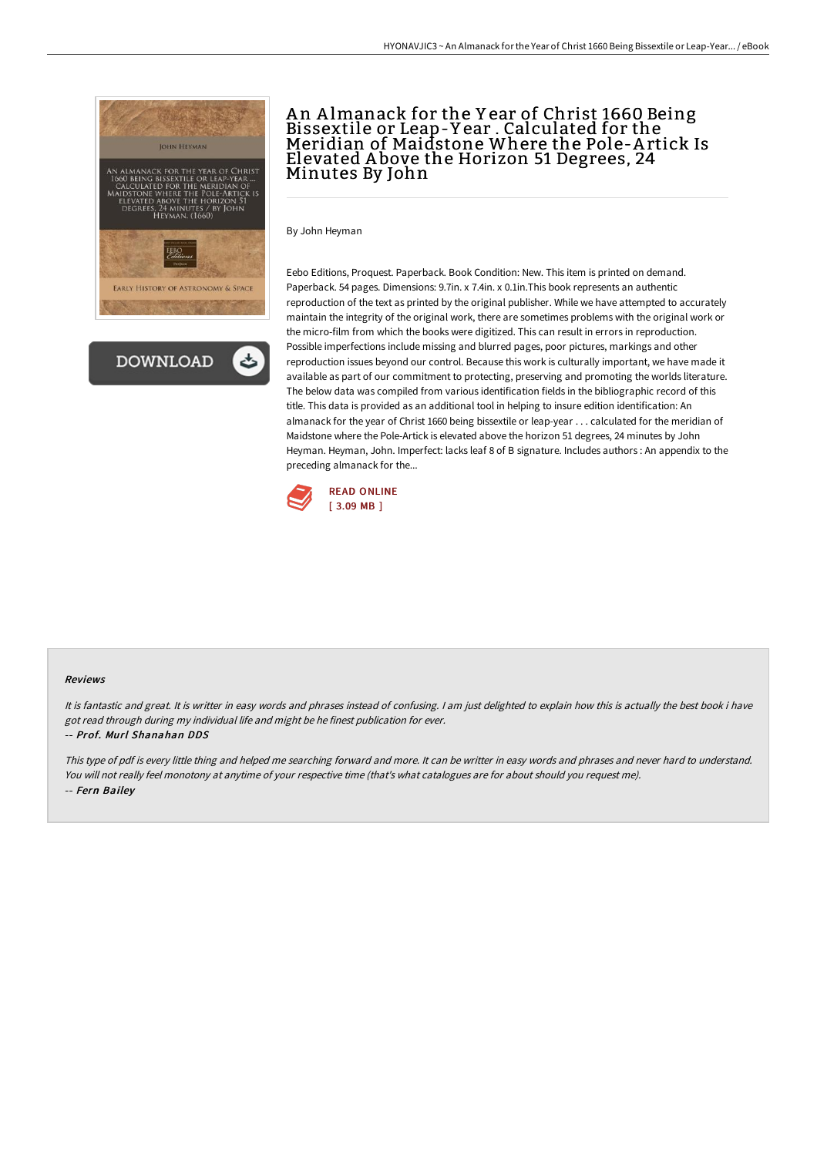



# An Almanack for the Year of Christ 1660 Being Bissextile or Leap-Y ear . Calculated for the Meridian of Maidstone Where the Pole-A rtick Is Elevated A bove the Horizon 51 Degrees, 24 Minutes By John

By John Heyman

Eebo Editions, Proquest. Paperback. Book Condition: New. This item is printed on demand. Paperback. 54 pages. Dimensions: 9.7in. x 7.4in. x 0.1in.This book represents an authentic reproduction of the text as printed by the original publisher. While we have attempted to accurately maintain the integrity of the original work, there are sometimes problems with the original work or the micro-film from which the books were digitized. This can result in errors in reproduction. Possible imperfections include missing and blurred pages, poor pictures, markings and other reproduction issues beyond our control. Because this work is culturally important, we have made it available as part of our commitment to protecting, preserving and promoting the worlds literature. The below data was compiled from various identification fields in the bibliographic record of this title. This data is provided as an additional tool in helping to insure edition identification: An almanack for the year of Christ 1660 being bissextile or leap-year . . . calculated for the meridian of Maidstone where the Pole-Artick is elevated above the horizon 51 degrees, 24 minutes by John Heyman. Heyman, John. Imperfect: lacks leaf 8 of B signature. Includes authors : An appendix to the preceding almanack for the...



#### Reviews

It is fantastic and great. It is writter in easy words and phrases instead of confusing. <sup>I</sup> am just delighted to explain how this is actually the best book i have got read through during my individual life and might be he finest publication for ever. -- Prof. Murl Shanahan DDS

This type of pdf is every little thing and helped me searching forward and more. It can be writter in easy words and phrases and never hard to understand. You will not really feel monotony at anytime of your respective time (that's what catalogues are for about should you request me). -- Fern Bailey